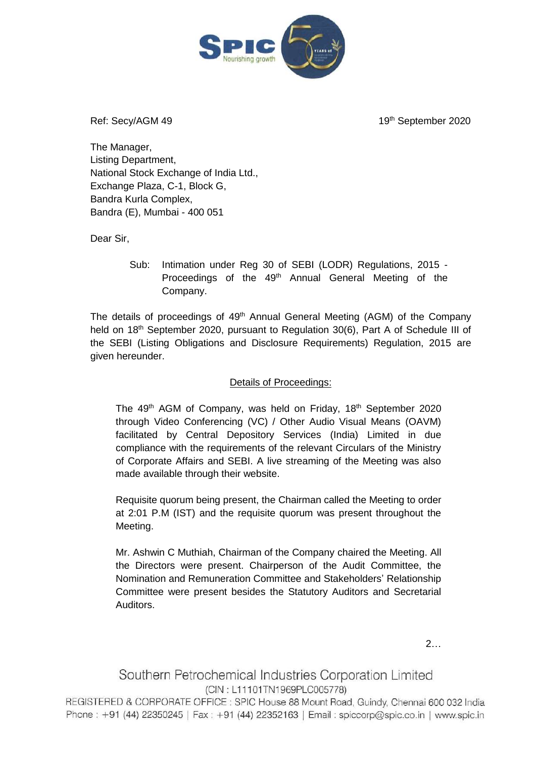

Ref: Secv/AGM 49

19<sup>th</sup> September 2020

The Manager, Listing Department, National Stock Exchange of India Ltd., Exchange Plaza, C-1, Block G, Bandra Kurla Complex, Bandra (E), Mumbai - 400 051

Dear Sir,

Sub: Intimation under Reg 30 of SEBI (LODR) Regulations, 2015 - Proceedings of the 49<sup>th</sup> Annual General Meeting of the Company.

The details of proceedings of 49<sup>th</sup> Annual General Meeting (AGM) of the Company held on 18<sup>th</sup> September 2020, pursuant to Regulation 30(6), Part A of Schedule III of the SEBI (Listing Obligations and Disclosure Requirements) Regulation, 2015 are given hereunder.

## Details of Proceedings:

The 49<sup>th</sup> AGM of Company, was held on Friday, 18<sup>th</sup> September 2020 through Video Conferencing (VC) / Other Audio Visual Means (OAVM) facilitated by Central Depository Services (India) Limited in due compliance with the requirements of the relevant Circulars of the Ministry of Corporate Affairs and SEBI. A live streaming of the Meeting was also made available through their website.

Requisite quorum being present, the Chairman called the Meeting to order at 2:01 P.M (IST) and the requisite quorum was present throughout the Meeting.

Mr. Ashwin C Muthiah, Chairman of the Company chaired the Meeting. All the Directors were present. Chairperson of the Audit Committee, the Nomination and Remuneration Committee and Stakeholders' Relationship Committee were present besides the Statutory Auditors and Secretarial Auditors.

2…

## Southern Petrochemical Industries Corporation Limited (CIN: L11101TN1969PLC005778)

REGISTERED & CORPORATE OFFICE : SPIC House 88 Mount Road, Guindy, Chennai 600 032 India Phone: +91 (44) 22350245 | Fax: +91 (44) 22352163 | Email: spiccorp@spic.co.in | www.spic.in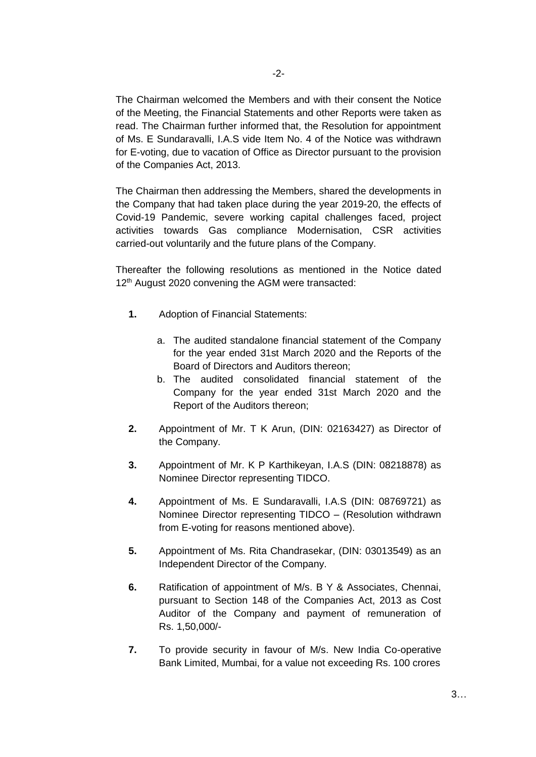The Chairman welcomed the Members and with their consent the Notice of the Meeting, the Financial Statements and other Reports were taken as read. The Chairman further informed that, the Resolution for appointment of Ms. E Sundaravalli, I.A.S vide Item No. 4 of the Notice was withdrawn for E-voting, due to vacation of Office as Director pursuant to the provision of the Companies Act, 2013.

The Chairman then addressing the Members, shared the developments in the Company that had taken place during the year 2019-20, the effects of Covid-19 Pandemic, severe working capital challenges faced, project activities towards Gas compliance Modernisation, CSR activities carried-out voluntarily and the future plans of the Company.

Thereafter the following resolutions as mentioned in the Notice dated 12<sup>th</sup> August 2020 convening the AGM were transacted:

- **1.** Adoption of Financial Statements:
	- a. The audited standalone financial statement of the Company for the year ended 31st March 2020 and the Reports of the Board of Directors and Auditors thereon;
	- b. The audited consolidated financial statement of the Company for the year ended 31st March 2020 and the Report of the Auditors thereon;
- **2.** Appointment of Mr. T K Arun, (DIN: 02163427) as Director of the Company.
- **3.** Appointment of Mr. K P Karthikeyan, I.A.S (DIN: 08218878) as Nominee Director representing TIDCO.
- **4.** Appointment of Ms. E Sundaravalli, I.A.S (DIN: 08769721) as Nominee Director representing TIDCO – (Resolution withdrawn from E-voting for reasons mentioned above).
- **5.** Appointment of Ms. Rita Chandrasekar, (DIN: 03013549) as an Independent Director of the Company.
- **6.** Ratification of appointment of M/s. B Y & Associates, Chennai, pursuant to Section 148 of the Companies Act, 2013 as Cost Auditor of the Company and payment of remuneration of Rs. 1,50,000/-
- **7.** To provide security in favour of M/s. New India Co-operative Bank Limited, Mumbai, for a value not exceeding Rs. 100 crores